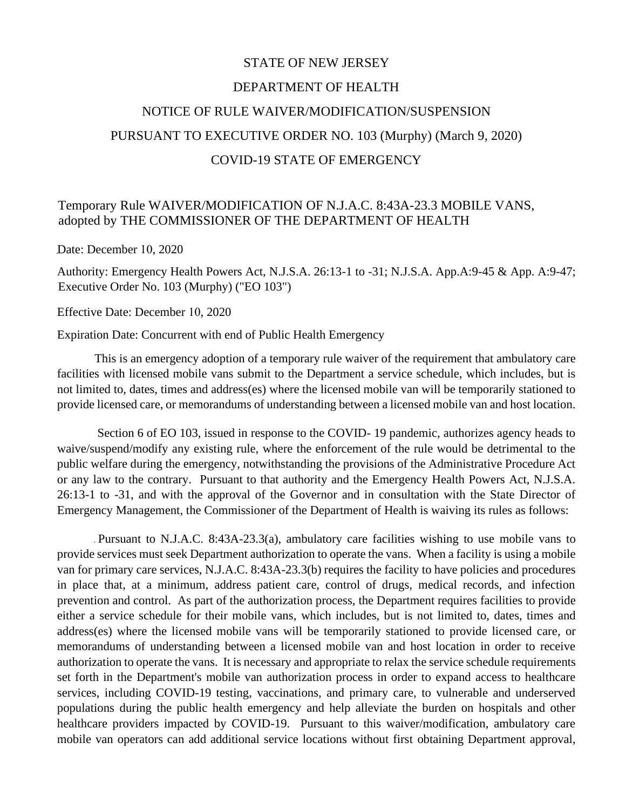## STATE OF NEW JERSEY DEPARTMENT OF HEALTH NOTICE OF RULE WAIVER/MODIFICATION/SUSPENSION PURSUANT TO EXECUTIVE ORDER NO. 103 (Murphy) (March 9, 2020) COVID-19 STATE OF EMERGENCY

## Temporary Rule WAIVER/MODIFICATION OF N.J.A.C. 8:43A-23.3 MOBILE VANS, adopted by THE COMMISSIONER OF THE DEPARTMENT OF HEALTH

Date: December 10, 2020

Authority: Emergency Health Powers Act, N.J.S.A. 26:13-1 to -31; N.J.S.A. App.A:9-45 & App. A:9-47; Executive Order No. 103 (Murphy) ("EO 103")

Effective Date: December 10, 2020

Expiration Date: Concurrent with end of Public Health Emergency

This is an emergency adoption of a temporary rule waiver of the requirement that ambulatory care facilities with licensed mobile vans submit to the Department a service schedule, which includes, but is not limited to, dates, times and address(es) where the licensed mobile van will be temporarily stationed to provide licensed care, or memorandums of understanding between a licensed mobile van and host location.

Section 6 of EO 103, issued in response to the COVID-19 pandemic, authorizes agency heads to waive/suspend/modify any existing rule, where the enforcement of the rule would be detrimental to the public welfare during the emergency, notwithstanding the provisions of the Administrative Procedure Act or any law to the contrary. Pursuant to that authority and the Emergency Health Powers Act, N.J.S.A. 26:13-1 to -31, and with the approval of the Governor and in consultation with the State Director of Emergency Management, the Commissioner of the Department of Health is waiving its rules as follows:

 Pursuant to N.J.A.C. 8:43A-23.3(a), ambulatory care facilities wishing to use mobile vans to provide services must seek Department authorization to operate the vans. When a facility is using a mobile van for primary care services, N.J.A.C. 8:43A-23.3(b) requires the facility to have policies and procedures in place that, at a minimum, address patient care, control of drugs, medical records, and infection prevention and control. As part of the authorization process, the Department requires facilities to provide either a service schedule for their mobile vans, which includes, but is not limited to, dates, times and address(es) where the licensed mobile vans will be temporarily stationed to provide licensed care, or memorandums of understanding between a licensed mobile van and host location in order to receive authorization to operate the vans. It is necessary and appropriate to relax the service schedule requirements set forth in the Department's mobile van authorization process in order to expand access to healthcare services, including COVID-19 testing, vaccinations, and primary care, to vulnerable and underserved populations during the public health emergency and help alleviate the burden on hospitals and other healthcare providers impacted by COVID-19. Pursuant to this waiver/modification, ambulatory care mobile van operators can add additional service locations without first obtaining Department approval,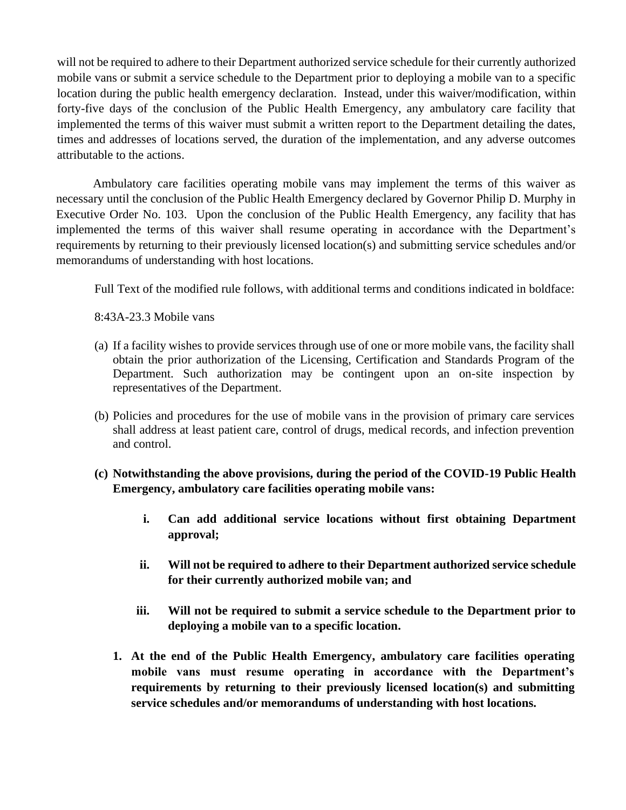will not be required to adhere to their Department authorized service schedule for their currently authorized mobile vans or submit a service schedule to the Department prior to deploying a mobile van to a specific location during the public health emergency declaration. Instead, under this waiver/modification, within forty-five days of the conclusion of the Public Health Emergency, any ambulatory care facility that implemented the terms of this waiver must submit a written report to the Department detailing the dates, times and addresses of locations served, the duration of the implementation, and any adverse outcomes attributable to the actions.

Ambulatory care facilities operating mobile vans may implement the terms of this waiver as necessary until the conclusion of the Public Health Emergency declared by Governor Philip D. Murphy in Executive Order No. 103. Upon the conclusion of the Public Health Emergency, any facility that has implemented the terms of this waiver shall resume operating in accordance with the Department's requirements by returning to their previously licensed location(s) and submitting service schedules and/or memorandums of understanding with host locations.

Full Text of the modified rule follows, with additional terms and conditions indicated in boldface:

8:43A-23.3 Mobile vans

- (a) If a facility wishes to provide services through use of one or more mobile vans, the facility shall obtain the prior authorization of the Licensing, Certification and Standards Program of the Department. Such authorization may be contingent upon an on-site inspection by representatives of the Department.
- (b) Policies and procedures for the use of mobile vans in the provision of primary care services shall address at least patient care, control of drugs, medical records, and infection prevention and control.
- **(c) Notwithstanding the above provisions, during the period of the COVID-19 Public Health Emergency, ambulatory care facilities operating mobile vans:**
	- **i. Can add additional service locations without first obtaining Department approval;**
	- **ii. Will not be required to adhere to their Department authorized service schedule for their currently authorized mobile van; and**
	- **iii. Will not be required to submit a service schedule to the Department prior to deploying a mobile van to a specific location.**
	- **1. At the end of the Public Health Emergency, ambulatory care facilities operating mobile vans must resume operating in accordance with the Department's requirements by returning to their previously licensed location(s) and submitting service schedules and/or memorandums of understanding with host locations.**